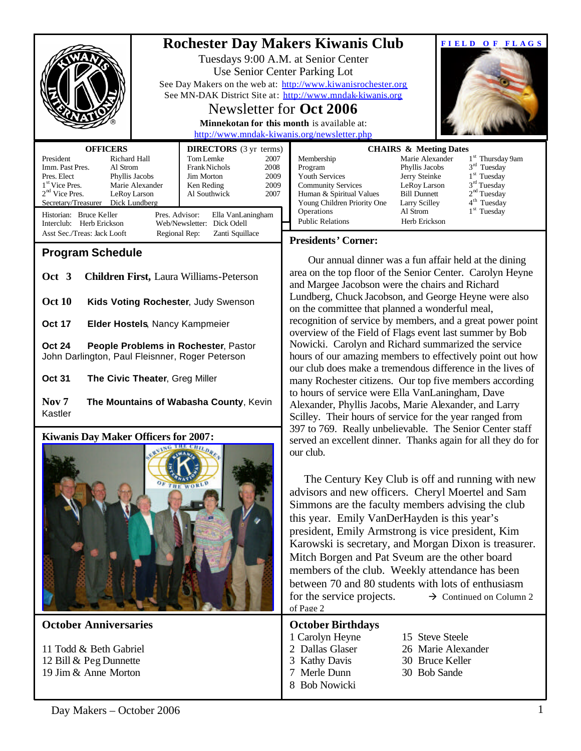|                                                                                                        |                                |                                                |                                                   | <b>Rochester Day Makers Kiwanis Club</b>                                                                                                                                                                    |                                                      | FIELD OF FLAGS                                        |  |
|--------------------------------------------------------------------------------------------------------|--------------------------------|------------------------------------------------|---------------------------------------------------|-------------------------------------------------------------------------------------------------------------------------------------------------------------------------------------------------------------|------------------------------------------------------|-------------------------------------------------------|--|
|                                                                                                        |                                |                                                |                                                   | Tuesdays 9:00 A.M. at Senior Center                                                                                                                                                                         |                                                      |                                                       |  |
|                                                                                                        |                                |                                                |                                                   | Use Senior Center Parking Lot                                                                                                                                                                               |                                                      |                                                       |  |
|                                                                                                        |                                |                                                |                                                   | See Day Makers on the web at: http://www.kiwanisrochester.org<br>See MN-DAK District Site at: http://www.mndak-kiwanis.org                                                                                  |                                                      |                                                       |  |
|                                                                                                        | Newsletter for <b>Oct 2006</b> |                                                |                                                   |                                                                                                                                                                                                             |                                                      |                                                       |  |
|                                                                                                        |                                |                                                | <b>Minnekotan for this month is available at:</b> |                                                                                                                                                                                                             |                                                      |                                                       |  |
|                                                                                                        |                                |                                                |                                                   | http://www.mndak-kiwanis.org/newsletter.php                                                                                                                                                                 |                                                      |                                                       |  |
| <b>OFFICERS</b><br>President<br>Richard Hall                                                           |                                | <b>DIRECTORS</b> (3 yr terms)<br>Tom Lemke     | 2007                                              | Membership                                                                                                                                                                                                  | <b>CHAIRS &amp; Meeting Dates</b><br>Marie Alexander | 1 <sup>st</sup> Thursday 9am                          |  |
| Imm. Past Pres.<br>Al Strom<br>Pres. Elect                                                             | Phyllis Jacobs                 | <b>Frank Nichols</b><br>Jim Morton             | 2008<br>2009                                      | Program<br>Youth Services                                                                                                                                                                                   | Phyllis Jacobs<br>Jerry Steinke                      | $3rd$ Tuesday<br>1 <sup>st</sup> Tuesday              |  |
| 1 <sup>st</sup> Vice Pres.                                                                             | Marie Alexander                | Ken Reding                                     | 2009                                              | <b>Community Services</b>                                                                                                                                                                                   | LeRoy Larson                                         | $3rd$ Tuesday                                         |  |
| $2nd$ Vice Pres.<br>Secretary/Treasurer                                                                | LeRoy Larson<br>Dick Lundberg  | Al Southwick                                   | 2007                                              | Human & Spiritual Values<br>Young Children Priority One                                                                                                                                                     | <b>Bill Dunnett</b><br>Larry Scilley                 | 2 <sup>nd</sup> Tuesday<br>4 <sup>th</sup> Tuesday    |  |
| Historian: Bruce Keller<br>Pres. Advisor:<br>Ella VanLaningham                                         |                                |                                                |                                                   | Operations<br><b>Public Relations</b>                                                                                                                                                                       | Al Strom<br>Herb Erickson                            | 1 <sup>st</sup> Tuesday                               |  |
| Web/Newsletter: Dick Odell<br>Interclub: Herb Erickson<br>Asst Sec./Treas: Jack Looft<br>Regional Rep: |                                | Zanti Squillace                                |                                                   |                                                                                                                                                                                                             |                                                      |                                                       |  |
| <b>Program Schedule</b>                                                                                |                                |                                                |                                                   | <b>Presidents' Corner:</b>                                                                                                                                                                                  |                                                      |                                                       |  |
|                                                                                                        |                                |                                                |                                                   |                                                                                                                                                                                                             |                                                      | Our annual dinner was a fun affair held at the dining |  |
| Oct 3                                                                                                  |                                | <b>Children First, Laura Williams-Peterson</b> |                                                   | area on the top floor of the Senior Center. Carolyn Heyne<br>and Margee Jacobson were the chairs and Richard                                                                                                |                                                      |                                                       |  |
| <b>Oct 10</b>                                                                                          |                                |                                                |                                                   | Lundberg, Chuck Jacobson, and George Heyne were also                                                                                                                                                        |                                                      |                                                       |  |
| Kids Voting Rochester, Judy Swenson                                                                    |                                |                                                |                                                   | on the committee that planned a wonderful meal,                                                                                                                                                             |                                                      |                                                       |  |
| <b>Oct 17</b><br>Elder Hostels, Nancy Kampmeier                                                        |                                |                                                |                                                   | recognition of service by members, and a great power point<br>overview of the Field of Flags event last summer by Bob                                                                                       |                                                      |                                                       |  |
| <b>Oct 24</b>                                                                                          |                                | People Problems in Rochester, Pastor           |                                                   | Nowicki. Carolyn and Richard summarized the service                                                                                                                                                         |                                                      |                                                       |  |
| John Darlington, Paul Fleisnner, Roger Peterson                                                        |                                |                                                |                                                   | hours of our amazing members to effectively point out how                                                                                                                                                   |                                                      |                                                       |  |
| <b>Oct 31</b>                                                                                          | The Civic Theater, Greg Miller |                                                |                                                   | our club does make a tremendous difference in the lives of<br>many Rochester citizens. Our top five members according                                                                                       |                                                      |                                                       |  |
|                                                                                                        |                                |                                                |                                                   | to hours of service were Ella VanLaningham, Dave                                                                                                                                                            |                                                      |                                                       |  |
| Nov <sub>7</sub><br>Kastler                                                                            |                                | The Mountains of Wabasha County, Kevin         |                                                   | Alexander, Phyllis Jacobs, Marie Alexander, and Larry                                                                                                                                                       |                                                      |                                                       |  |
|                                                                                                        |                                |                                                |                                                   | Scilley. Their hours of service for the year ranged from                                                                                                                                                    |                                                      |                                                       |  |
| Kiwanis Day Maker Officers for 2007:                                                                   |                                |                                                |                                                   | 397 to 769. Really unbelievable. The Senior Center staff<br>served an excellent dinner. Thanks again for all they do for                                                                                    |                                                      |                                                       |  |
|                                                                                                        |                                |                                                |                                                   | our club.                                                                                                                                                                                                   |                                                      |                                                       |  |
| <b>HE WORL</b>                                                                                         |                                |                                                |                                                   |                                                                                                                                                                                                             |                                                      |                                                       |  |
|                                                                                                        |                                |                                                |                                                   | The Century Key Club is off and running with new                                                                                                                                                            |                                                      |                                                       |  |
|                                                                                                        |                                |                                                |                                                   | advisors and new officers. Cheryl Moertel and Sam<br>Simmons are the faculty members advising the club<br>this year. Emily VanDerHayden is this year's<br>president, Emily Armstrong is vice president, Kim |                                                      |                                                       |  |
|                                                                                                        |                                |                                                |                                                   |                                                                                                                                                                                                             |                                                      |                                                       |  |
|                                                                                                        |                                |                                                |                                                   |                                                                                                                                                                                                             |                                                      |                                                       |  |
|                                                                                                        |                                |                                                |                                                   | Karowski is secretary, and Morgan Dixon is treasurer.                                                                                                                                                       |                                                      |                                                       |  |
|                                                                                                        |                                |                                                |                                                   | Mitch Borgen and Pat Sveum are the other board                                                                                                                                                              |                                                      |                                                       |  |
|                                                                                                        |                                |                                                |                                                   | members of the club. Weekly attendance has been                                                                                                                                                             |                                                      |                                                       |  |
|                                                                                                        |                                |                                                |                                                   | between 70 and 80 students with lots of enthusiasm                                                                                                                                                          |                                                      |                                                       |  |
|                                                                                                        |                                |                                                |                                                   | for the service projects.<br>$\rightarrow$ Continued on Column 2<br>of Page 2                                                                                                                               |                                                      |                                                       |  |
| <b>October Anniversaries</b>                                                                           |                                |                                                |                                                   | <b>October Birthdays</b>                                                                                                                                                                                    |                                                      |                                                       |  |
|                                                                                                        |                                |                                                |                                                   | 1 Carolyn Heyne                                                                                                                                                                                             | 15 Steve Steele                                      |                                                       |  |
| 11 Todd & Beth Gabriel<br>12 Bill & Peg Dunnette                                                       |                                |                                                |                                                   | 2 Dallas Glaser<br>3 Kathy Davis                                                                                                                                                                            |                                                      | 26 Marie Alexander<br>30 Bruce Keller                 |  |
| 19 Jim & Anne Morton                                                                                   |                                |                                                |                                                   | 7 Merle Dunn                                                                                                                                                                                                | 30 Bob Sande                                         |                                                       |  |
|                                                                                                        |                                |                                                |                                                   | 8 Bob Nowicki                                                                                                                                                                                               |                                                      |                                                       |  |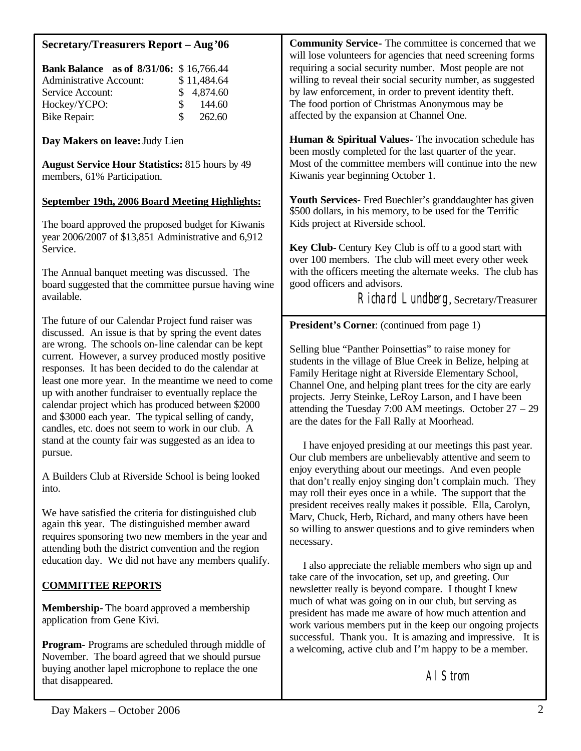| <b>Secretary/Treasurers Report - Aug '06</b><br><b>Bank Balance</b> as of 8/31/06: \$16,766.44<br><b>Administrative Account:</b><br>\$11,484.64<br>4,874.60<br>Service Account:<br>\$<br>\$<br>Hockey/YCPO:<br>144.60<br>\$<br>262.60<br><b>Bike Repair:</b>                                                                                                                                                                                                                                                                                                                                                                                                                                   | <b>Community Service</b> - The committee is concerned that we<br>will lose volunteers for agencies that need screening forms<br>requiring a social security number. Most people are not<br>willing to reveal their social security number, as suggested<br>by law enforcement, in order to prevent identity theft.<br>The food portion of Christmas Anonymous may be<br>affected by the expansion at Channel One.                                                                                                                                                                                                                                                                                                      |  |  |
|------------------------------------------------------------------------------------------------------------------------------------------------------------------------------------------------------------------------------------------------------------------------------------------------------------------------------------------------------------------------------------------------------------------------------------------------------------------------------------------------------------------------------------------------------------------------------------------------------------------------------------------------------------------------------------------------|------------------------------------------------------------------------------------------------------------------------------------------------------------------------------------------------------------------------------------------------------------------------------------------------------------------------------------------------------------------------------------------------------------------------------------------------------------------------------------------------------------------------------------------------------------------------------------------------------------------------------------------------------------------------------------------------------------------------|--|--|
| Day Makers on leave: Judy Lien<br><b>August Service Hour Statistics: 815 hours by 49</b><br>members, 61% Participation.                                                                                                                                                                                                                                                                                                                                                                                                                                                                                                                                                                        | Human & Spiritual Values - The invocation schedule has<br>been mostly completed for the last quarter of the year.<br>Most of the committee members will continue into the new<br>Kiwanis year beginning October 1.                                                                                                                                                                                                                                                                                                                                                                                                                                                                                                     |  |  |
| September 19th, 2006 Board Meeting Highlights:<br>The board approved the proposed budget for Kiwanis<br>year 2006/2007 of \$13,851 Administrative and 6,912<br>Service.<br>The Annual banquet meeting was discussed. The<br>board suggested that the committee pursue having wine<br>available.                                                                                                                                                                                                                                                                                                                                                                                                | Youth Services- Fred Buechler's granddaughter has given<br>\$500 dollars, in his memory, to be used for the Terrific<br>Kids project at Riverside school.<br>Key Club- Century Key Club is off to a good start with<br>over 100 members. The club will meet every other week<br>with the officers meeting the alternate weeks. The club has<br>good officers and advisors.<br>Richard Lundberg, Secretary/Treasurer                                                                                                                                                                                                                                                                                                    |  |  |
| The future of our Calendar Project fund raiser was<br>discussed. An issue is that by spring the event dates<br>are wrong. The schools on-line calendar can be kept<br>current. However, a survey produced mostly positive<br>responses. It has been decided to do the calendar at<br>least one more year. In the meantime we need to come<br>up with another fundraiser to eventually replace the<br>calendar project which has produced between \$2000<br>and \$3000 each year. The typical selling of candy,<br>candles, etc. does not seem to work in our club. A<br>stand at the county fair was suggested as an idea to<br>pursue.<br>A Builders Club at Riverside School is being looked | <b>President's Corner:</b> (continued from page 1)<br>Selling blue "Panther Poinsettias" to raise money for<br>students in the village of Blue Creek in Belize, helping at<br>Family Heritage night at Riverside Elementary School,<br>Channel One, and helping plant trees for the city are early<br>projects. Jerry Steinke, LeRoy Larson, and I have been<br>attending the Tuesday 7:00 AM meetings. October $27 - 29$<br>are the dates for the Fall Rally at Moorhead.<br>I have enjoyed presiding at our meetings this past year.<br>Our club members are unbelievably attentive and seem to<br>enjoy everything about our meetings. And even people<br>that don't really enjoy singing don't complain much. They |  |  |
| into.<br>We have satisfied the criteria for distinguished club<br>again this year. The distinguished member award<br>requires sponsoring two new members in the year and<br>attending both the district convention and the region<br>education day. We did not have any members qualify.                                                                                                                                                                                                                                                                                                                                                                                                       | may roll their eyes once in a while. The support that the<br>president receives really makes it possible. Ella, Carolyn,<br>Marv, Chuck, Herb, Richard, and many others have been<br>so willing to answer questions and to give reminders when<br>necessary.                                                                                                                                                                                                                                                                                                                                                                                                                                                           |  |  |
| <b>COMMITTEE REPORTS</b><br><b>Membership-</b> The board approved a membership<br>application from Gene Kivi.                                                                                                                                                                                                                                                                                                                                                                                                                                                                                                                                                                                  | I also appreciate the reliable members who sign up and<br>take care of the invocation, set up, and greeting. Our<br>newsletter really is beyond compare. I thought I knew<br>much of what was going on in our club, but serving as<br>president has made me aware of how much attention and<br>work various members put in the keep our ongoing projects                                                                                                                                                                                                                                                                                                                                                               |  |  |

**Program-** Programs are scheduled through middle of November. The board agreed that we should pursue buying another lapel microphone to replace the one that disappeared.

successful. Thank you. It is amazing and impressive. It is a welcoming, active club and I'm happy to be a member.